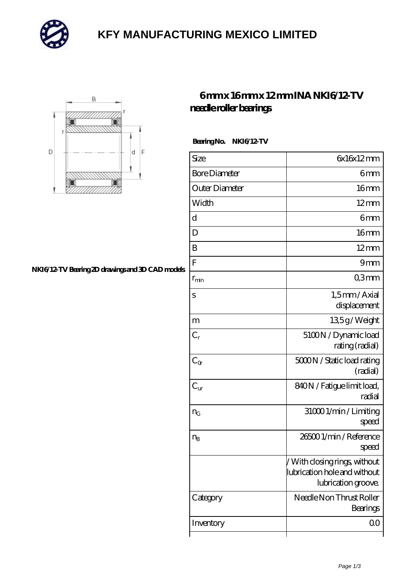

# **[KFY MANUFACTURING MEXICO LIMITED](https://mailemotion.tv)**



#### **[NKI6/12-TV Bearing 2D drawings and 3D CAD models](https://mailemotion.tv/pic-414490.html)**

### **[6 mm x 16 mm x 12 mm INA NKI6/12-TV](https://mailemotion.tv/bz-414490-ina-nki6-12-tv-needle-roller-bearings.html) [needle roller bearings](https://mailemotion.tv/bz-414490-ina-nki6-12-tv-needle-roller-bearings.html)**

 **Bearing No. NKI6/12-TV**

| Size                 | 6x16x12mm                                                                            |
|----------------------|--------------------------------------------------------------------------------------|
| <b>Bore Diameter</b> | 6mm                                                                                  |
| Outer Diameter       | 16 <sub>mm</sub>                                                                     |
| Width                | $12 \text{mm}$                                                                       |
| d                    | 6mm                                                                                  |
| D                    | 16mm                                                                                 |
| B                    | $12 \text{mm}$                                                                       |
| ${\bf F}$            | 9mm                                                                                  |
| $r_{\rm min}$        | Q3mm                                                                                 |
| S                    | 1,5mm/Axial<br>displacement                                                          |
| m                    | 135g/Weight                                                                          |
| $C_r$                | 5100N / Dynamic load<br>rating (radial)                                              |
| $C_{\alpha}$         | 5000N / Static load rating<br>(radial)                                               |
| $C_{\text{ur}}$      | 840N / Fatigue limit load,<br>radial                                                 |
| $n_G$                | 31000 1/min / Limiting<br>speed                                                      |
| $n_{\rm B}$          | 265001/min/Reference<br>speed                                                        |
|                      | /With closing rings, without<br> lubrication hole and without<br>lubrication groove. |
| Category             | Needle Non Thrust Roller<br>Bearings                                                 |
| Inventory            | 0 <sup>0</sup>                                                                       |
|                      |                                                                                      |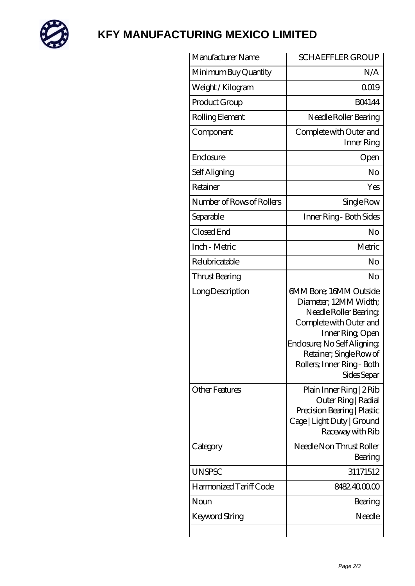

# **[KFY MANUFACTURING MEXICO LIMITED](https://mailemotion.tv)**

| Manufacturer Name         | <b>SCHAEFFLER GROUP</b>                                                                                                                                                                                                         |
|---------------------------|---------------------------------------------------------------------------------------------------------------------------------------------------------------------------------------------------------------------------------|
| Minimum Buy Quantity      | N/A                                                                                                                                                                                                                             |
| Weight /Kilogram          | Q019                                                                                                                                                                                                                            |
| Product Group             | <b>BO4144</b>                                                                                                                                                                                                                   |
| Rolling Element           | Needle Roller Bearing                                                                                                                                                                                                           |
| Component                 | Complete with Outer and<br>Inner Ring                                                                                                                                                                                           |
| Enclosure                 | Open                                                                                                                                                                                                                            |
| Self Aligning             | No                                                                                                                                                                                                                              |
| Retainer                  | Yes                                                                                                                                                                                                                             |
| Number of Rows of Rollers | Single Row                                                                                                                                                                                                                      |
| Separable                 | Inner Ring - Both Sides                                                                                                                                                                                                         |
| Closed End                | No                                                                                                                                                                                                                              |
| Inch - Metric             | Metric                                                                                                                                                                                                                          |
| Relubricatable            | No                                                                                                                                                                                                                              |
| Thrust Bearing            | No                                                                                                                                                                                                                              |
| Long Description          | 6MM Bore; 16MM Outside<br>Diameter; 12MM Width;<br>Needle Roller Bearing<br>Complete with Outer and<br>Inner Ring, Open<br>Enclosure; No Self Aligning;<br>Retainer; Single Row of<br>Rollers; Inner Ring - Both<br>Sides Separ |
| <b>Other Features</b>     | Plain Inner Ring   2 Rib<br>Outer Ring   Radial<br>Precision Bearing   Plastic<br>Cage   Light Duty   Ground<br>Raceway with Rib                                                                                                |
| Category                  | Needle Non Thrust Roller<br>Bearing                                                                                                                                                                                             |
| <b>UNSPSC</b>             | 31171512                                                                                                                                                                                                                        |
| Harmonized Tariff Code    | 8482.400000                                                                                                                                                                                                                     |
| Noun                      | Bearing                                                                                                                                                                                                                         |
| Keyword String            | Needle                                                                                                                                                                                                                          |
|                           |                                                                                                                                                                                                                                 |